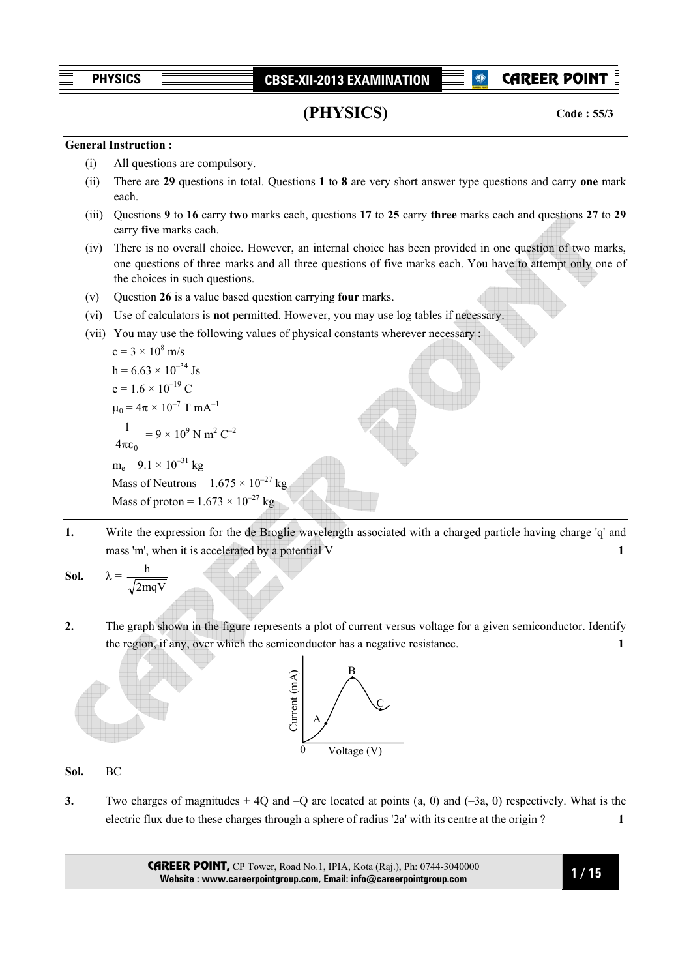CAREER POINT

```
(PHYSICS)
```
**Code : 55/3**

# **General Instruction :**

- (i) All questions are compulsory.
- (ii) There are **29** questions in total. Questions **1** to **8** are very short answer type questions and carry **one** mark each.
- (iii) Questions **9** to **16** carry **two** marks each, questions **17** to **25** carry **three** marks each and questions **27** to **29** carry **five** marks each.
- (iv) There is no overall choice. However, an internal choice has been provided in one question of two marks, one questions of three marks and all three questions of five marks each. You have to attempt only one of the choices in such questions.
- (v) Question **26** is a value based question carrying **four** marks.
- (vi) Use of calculators is **not** permitted. However, you may use log tables if necessary.
- (vii) You may use the following values of physical constants wherever necessary :

c = 3 × 10<sup>8</sup> m/s  
\nh = 6.63 × 10<sup>-34</sup>Js  
\ne = 1.6 × 10<sup>-19</sup> C  
\n
$$
\mu_0 = 4\pi × 10^{-7}
$$
 T mA<sup>-1</sup>  
\n $\frac{1}{4\pi\epsilon_0} = 9 × 10^9$  N m<sup>2</sup> C<sup>-2</sup>  
\nm<sub>e</sub> = 9.1 × 10<sup>-31</sup> kg  
\nMass of Neutrons = 1.675 × 10<sup>-27</sup> kg  
\nMass of proton = 1.673 × 10<sup>-27</sup> kg

**1.** Write the expression for the de Broglie wavelength associated with a charged particle having charge 'q' and mass 'm', when it is accelerated by a potential V **1** 

**Sol.** 
$$
\lambda = \frac{h}{\sqrt{2mqV}}
$$

**2.** The graph shown in the figure represents a plot of current versus voltage for a given semiconductor. Identify the region, if any, over which the semiconductor has a negative resistance. **1** 



**Sol.** BC

**3.** Two charges of magnitudes + 4Q and –Q are located at points (a, 0) and (–3a, 0) respectively. What is the electric flux due to these charges through a sphere of radius '2a' with its centre at the origin ? **1**

> CAREER POINT, CP Tower, Road No.1, IPIA, Kota (Raj.), Ph: 0744-3040000 **Website : www.careerpointgroup.com, Email: info@careerpointgroup.com**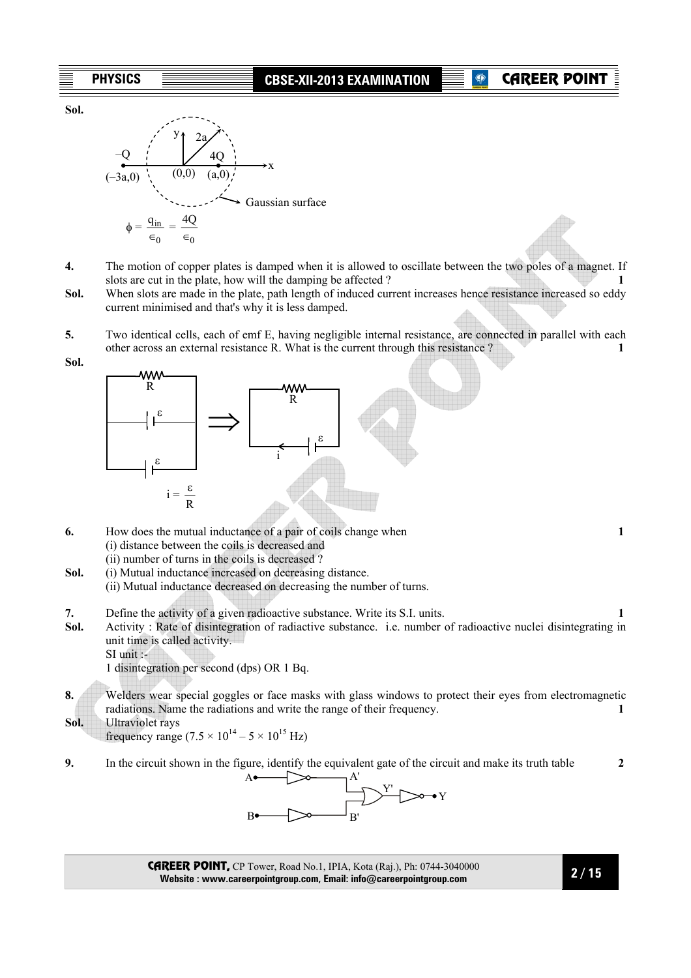**Sol.** 



- **4.** The motion of copper plates is damped when it is allowed to oscillate between the two poles of a magnet. If slots are cut in the plate, how will the damping be affected ? **1**
- **Sol.** When slots are made in the plate, path length of induced current increases hence resistance increased so eddy current minimised and that's why it is less damped.
- **5.** Two identical cells, each of emf E, having negligible internal resistance, are connected in parallel with each other across an external resistance R. What is the current through this resistance ? **1**

**Sol.** 



- **6.** How does the mutual inductance of a pair of coils change when **1**  (i) distance between the coils is decreased and (ii) number of turns in the coils is decreased ?
- **Sol.** (i) Mutual inductance increased on decreasing distance.
	- (ii) Mutual inductance decreased on decreasing the number of turns.
- **7.** Define the activity of a given radioactive substance. Write its S.I. units. **1**
- **Sol.** Activity : Rate of disintegration of radiactive substance. i.e. number of radioactive nuclei disintegrating in unit time is called activity.
	- SI unit :-

1 disintegration per second (dps) OR 1 Bq.

- **8.** Welders wear special goggles or face masks with glass windows to protect their eyes from electromagnetic radiations. Name the radiations and write the range of their frequency. **1**
- **Sol.** Ultraviolet rays

frequency range  $(7.5 \times 10^{14} - 5 \times 10^{15} \text{ Hz})$ 

**9.** In the circuit shown in the figure, identify the equivalent gate of the circuit and make its truth table **2** 



CAREER POINT, CP Tower, Road No.1, IPIA, Kota (Raj.), Ph: 0744-3040000 **Website : www.careerpointgroup.com, Email: info@careerpointgroup.com**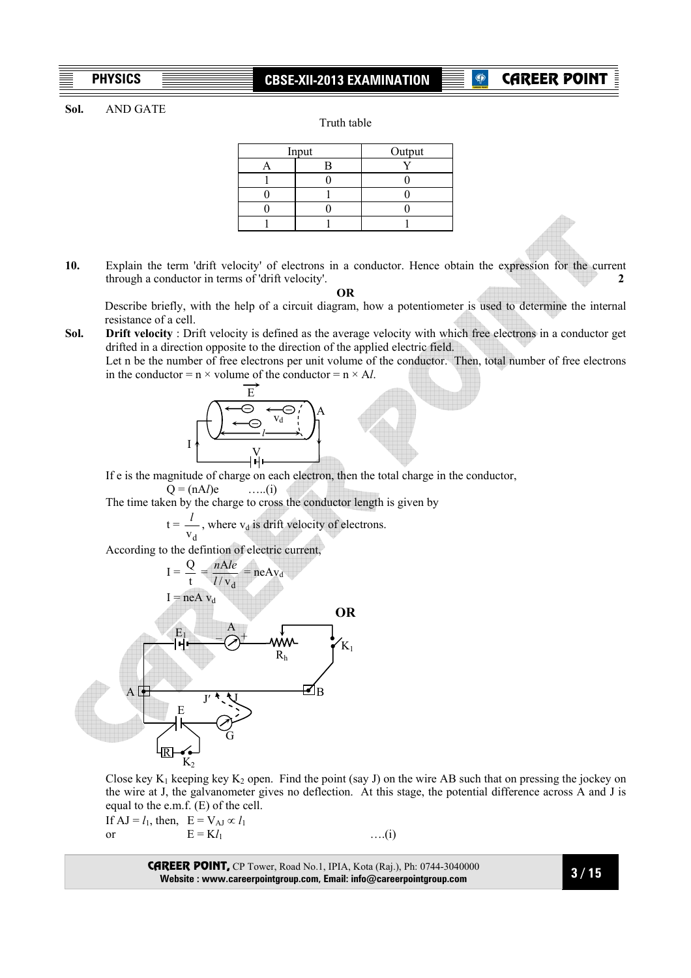# **CAREER POINT**

#### **Sol.** AND GATE

Truth table

| Input |  | Output |
|-------|--|--------|
|       |  |        |
|       |  |        |
|       |  |        |
|       |  |        |
|       |  |        |

**10.** Explain the term 'drift velocity' of electrons in a conductor. Hence obtain the expression for the current through a conductor in terms of 'drift velocity'. **2** 

**OR** 

 Describe briefly, with the help of a circuit diagram, how a potentiometer is used to determine the internal resistance of a cell.

**Sol. Drift velocity** : Drift velocity is defined as the average velocity with which free electrons in a conductor get drifted in a direction opposite to the direction of the applied electric field. Let n be the number of free electrons per unit volume of the conductor. Then, total number of free electrons

in the conductor =  $n \times$  volume of the conductor =  $n \times A$ *l*. E **– – –** vd *l*  A I V<br>Hi

 If e is the magnitude of charge on each electron, then the total charge in the conductor,  $Q = (nA<sub>l</sub>)e$  …..(i)

The time taken by the charge to cross the conductor length is given by

 $t =$  $v_d$  $\frac{l}{r}$ , where v<sub>d</sub> is drift velocity of electrons.

According to the defintion of electric current,



Close key K<sub>1</sub> keeping key K<sub>2</sub> open. Find the point (say J) on the wire AB such that on pressing the jockey on the wire at J, the galvanometer gives no deflection. At this stage, the potential difference across A and J is equal to the e.m.f. (E) of the cell.

If  $AJ = l_1$ , then,  $E = V_{AJ} \propto l_1$ or  $E = Kl_1$  …..(i)

CAREER POINT, CP Tower, Road No.1, IPIA, Kota (Raj.), Ph: 0744-3040000 **Website : www.careerpointgroup.com, Email: info@careerpointgroup.com**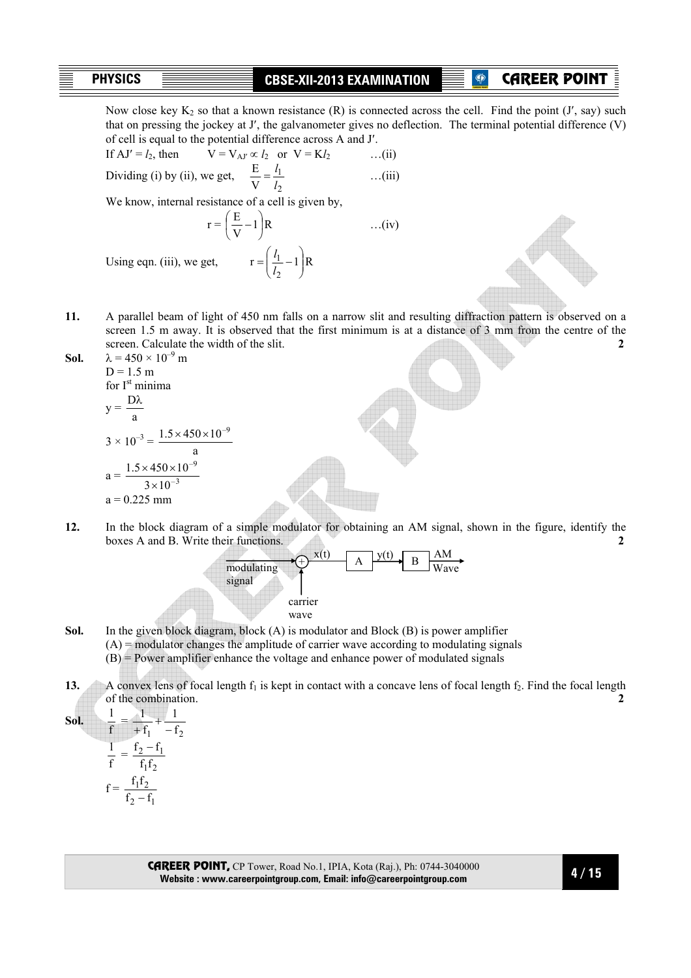## CAREER POINT

Now close key  $K_2$  so that a known resistance  $(R)$  is connected across the cell. Find the point  $(J', say)$  such that on pressing the jockey at J′, the galvanometer gives no deflection. The terminal potential difference (V) of cell is equal to the potential difference across A and J′.

If 
$$
AJ' = l_2
$$
, then  $V = V_{AY} \propto l_2$  or  $V = Kl_2$  ...(ii)  
Dividing (i) by (ii), we get,  $\frac{E}{V} = \frac{l_1}{l_2}$  ...(iii)

We know, internal resistance of a cell is given by,

$$
r = \left(\frac{E}{V} - 1\right)R
$$
...(iv)  
Using eqn. (iii), we get, 
$$
r = \left(\frac{l_1}{l_2} - 1\right)R
$$

2

J

Using eqn. (iii), we get,

**11.** A parallel beam of light of 450 nm falls on a narrow slit and resulting diffraction pattern is observed on a screen 1.5 m away. It is observed that the first minimum is at a distance of 3 mm from the centre of the screen. Calculate the width of the slit. **2** 

**Sol.** 
$$
\lambda = 450 \times 10^{-9} \text{ m}
$$
  
\n $D = 1.5 \text{ m}$   
\nfor I<sup>st</sup> minima  
\n $y = \frac{D\lambda}{a}$   
\n $3 \times 10^{-3} = \frac{1.5 \times 450 \times 10^{-9}}{a}$   
\n $a = \frac{1.5 \times 450 \times 10^{-9}}{3 \times 10^{-3}}$   
\n $a = 0.225 \text{ mm}$ 

**12.** In the block diagram of a simple modulator for obtaining an AM signal, shown in the figure, identify the boxes A and B. Write their functions. **2** 



- **Sol.** In the given block diagram, block (A) is modulator and Block (B) is power amplifier  $(A)$  = modulator changes the amplitude of carrier wave according to modulating signals (B) = Power amplifier enhance the voltage and enhance power of modulated signals
- **13.** A convex lens of focal length  $f_1$  is kept in contact with a concave lens of focal length  $f_2$ . Find the focal length of the combination. **2**

**Sol.** f  $\frac{1}{2}$  =  $f_1$  -  $f_2$ 1 f  $\frac{1}{+f_1}$  + f  $\frac{1}{2}$  =  $1^{1}2$  $2 - 11$  $f_1f$  $f_2 - f$  $f =$  $2 - 11$  $1^{1}2$  $f_2 - f$  $f_1f$ −

> CAREER POINT, CP Tower, Road No.1, IPIA, Kota (Raj.), Ph: 0744-3040000 **Website : www.careerpointgroup.com, Email: info@careerpointgroup.com**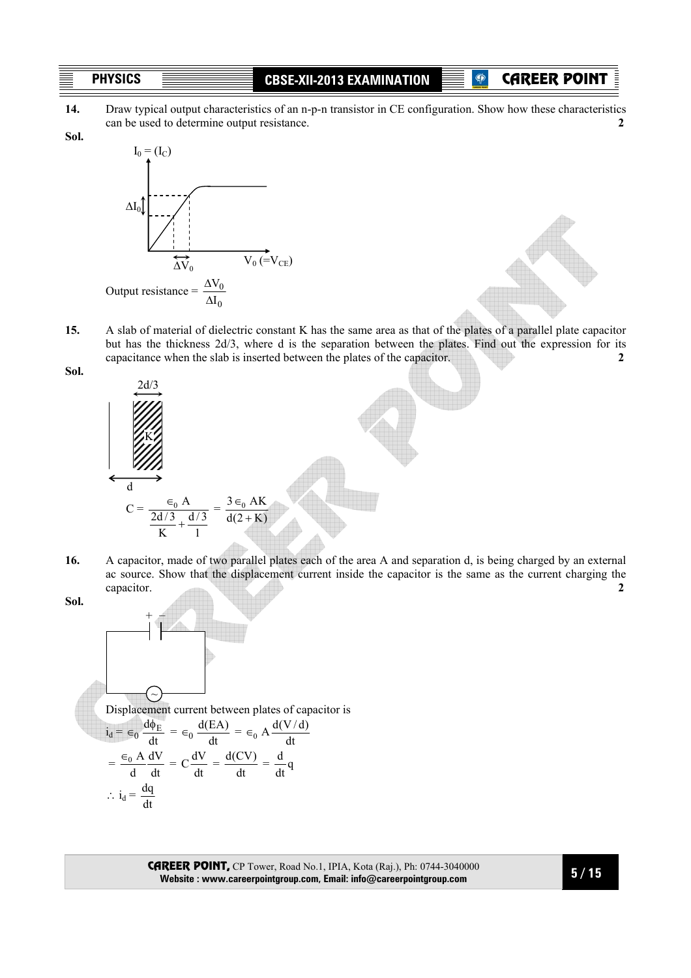**<b>CAREER POINT** 

**Sol.**

**14.** Draw typical output characteristics of an n-p-n transistor in CE configuration. Show how these characteristics can be used to determine output resistance. **2**



**15.** A slab of material of dielectric constant K has the same area as that of the plates of a parallel plate capacitor but has the thickness 2d/3, where d is the separation between the plates. Find out the expression for its capacitance when the slab is inserted between the plates of the capacitor. **2**



- **16.** A capacitor, made of two parallel plates each of the area A and separation d, is being charged by an external ac source. Show that the displacement current inside the capacitor is the same as the current charging the capacitor. **2**
- **Sol.**

**Sol.** 



CAREER POINT, CP Tower, Road No.1, IPIA, Kota (Raj.), Ph: 0744-3040000 **Website : www.careerpointgroup.com, Email: info@careerpointgroup.com**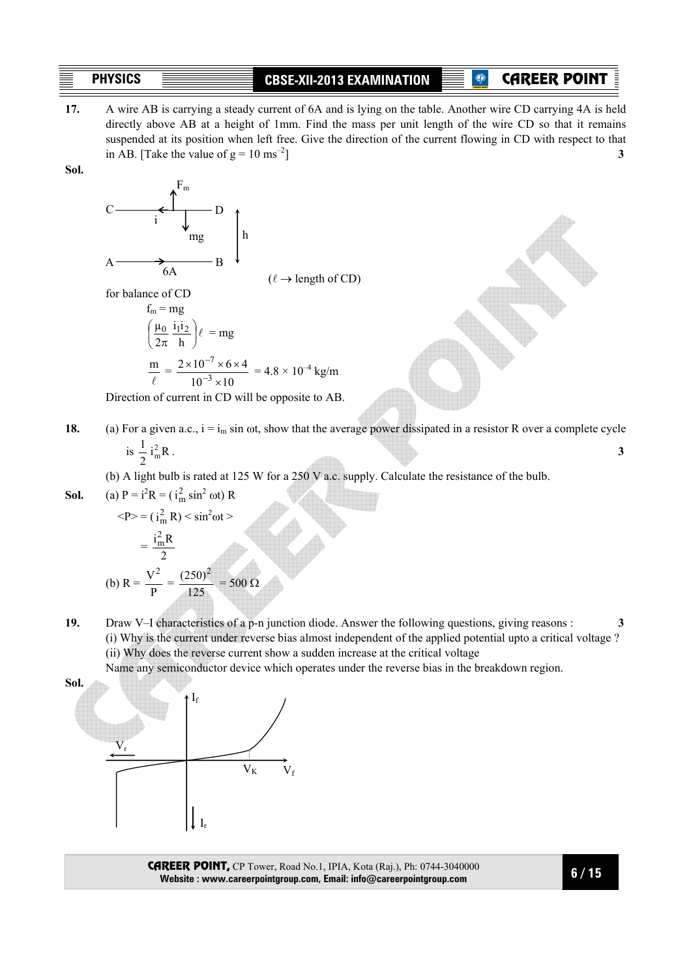# **P** CAREER POINT

**17.** A wire AB is carrying a steady current of 6A and is lying on the table. Another wire CD carrying 4A is held directly above AB at a height of 1mm. Find the mass per unit length of the wire CD so that it remains suspended at its position when left free. Give the direction of the current flowing in CD with respect to that in AB. [Take the value of  $g = 10 \text{ ms}^{-2}$ ] **3** 

**Sol.** 

$$
C \longrightarrow \begin{pmatrix} F_m \\ \downarrow \\ \downarrow \\ \downarrow \\ \downarrow \\ \downarrow \\ \end{pmatrix} \begin{bmatrix} F_m \\ \downarrow \\ \downarrow \\ \downarrow \\ \end{bmatrix} \begin{bmatrix} \downarrow \\ \downarrow \\ \downarrow \\ \downarrow \\ \end{bmatrix}
$$

 $(\ell \rightarrow$  length of CD)

for balance of CD

$$
f_m = mg
$$
  
\n
$$
\left(\frac{\mu_0}{2\pi} \frac{i_1 i_2}{h}\right) \ell = mg
$$
  
\n
$$
\frac{m}{\ell} = \frac{2 \times 10^{-7} \times 6 \times 4}{10^{-3} \times 10} = 4.8 \times 10^{-4} \text{ kg/m}
$$

Direction of current in CD will be opposite to AB.

**18.** (a) For a given a.c.,  $i = i_m \sin \omega t$ , show that the average power dissipated in a resistor R over a complete cycle is  $\frac{1}{2}$  i<sub>m</sub>R  $\frac{2}{m}R$ . 3

$$
^{1S} \frac{}{2}^{1} {}_{m}R
$$

(b) A light bulb is rated at 125 W for a 250 V a.c. supply. Calculate the resistance of the bulb.

**Sol.** (a) 
$$
P = i^2 R = (i_m^2 \sin^2 \omega t) R
$$

$$
\langle P \rangle = (i_m^2 R) \langle \sin^2 \omega t \rangle
$$
  
=  $\frac{i_m^2 R}{2}$   
(b)  $R = \frac{V^2}{P} = \frac{(250)^2}{125} = 500 \Omega$ 

**19.** Draw V–I characteristics of a p-n junction diode. Answer the following questions, giving reasons : **3**  (i) Why is the current under reverse bias almost independent of the applied potential upto a critical voltage ? (ii) Why does the reverse current show a sudden increase at the critical voltage

Name any semiconductor device which operates under the reverse bias in the breakdown region.



CAREER POINT, CP Tower, Road No.1, IPIA, Kota (Raj.), Ph: 0744-3040000 **Website : www.careerpointgroup.com, Email: info@careerpointgroup.com**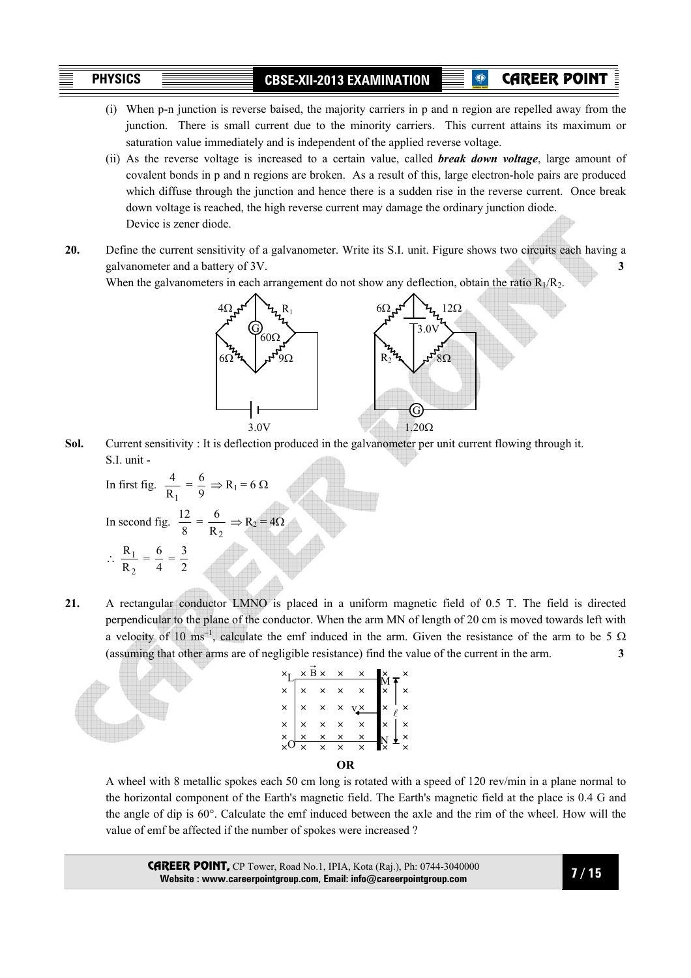CAREER POINT

- (i) When p-n junction is reverse baised, the majority carriers in p and n region are repelled away from the junction. There is small current due to the minority carriers. This current attains its maximum or saturation value immediately and is independent of the applied reverse voltage.
- (ii) As the reverse voltage is increased to a certain value, called *break down voltage*, large amount of covalent bonds in p and n regions are broken. As a result of this, large electron-hole pairs are produced which diffuse through the junction and hence there is a sudden rise in the reverse current. Once break down voltage is reached, the high reverse current may damage the ordinary junction diode. Device is zener diode.
- **20.** Define the current sensitivity of a galvanometer. Write its S.I. unit. Figure shows two circuits each having a galvanometer and a battery of 3V. **3**

When the galvanometers in each arrangement do not show any deflection, obtain the ratio  $R_1/R_2$ .



**Sol.** Current sensitivity : It is deflection produced in the galvanometer per unit current flowing through it. S.I. unit -  $\triangle$ 

In first fig. 
$$
\frac{4}{R_1} = \frac{6}{9} \Rightarrow R_1 = 6 \Omega
$$
  
In second fig.  $\frac{12}{8} = \frac{6}{R_2} \Rightarrow R_2 = 4\Omega$   
 $\therefore \frac{R_1}{R_2} = \frac{6}{4} = \frac{3}{2}$ 

**21.** A rectangular conductor LMNO is placed in a uniform magnetic field of 0.5 T. The field is directed perpendicular to the plane of the conductor. When the arm MN of length of 20 cm is moved towards left with a velocity of 10 ms<sup>-1</sup>, calculate the emf induced in the arm. Given the resistance of the arm to be 5  $\Omega$ (assuming that other arms are of negligible resistance) find the value of the current in the arm. **3** 



A wheel with 8 metallic spokes each 50 cm long is rotated with a speed of 120 rev/min in a plane normal to the horizontal component of the Earth's magnetic field. The Earth's magnetic field at the place is 0.4 G and the angle of dip is 60°. Calculate the emf induced between the axle and the rim of the wheel. How will the value of emf be affected if the number of spokes were increased ?

CAREER POINT, CP Tower, Road No.1, IPIA, Kota (Raj.), Ph: 0744-3040000 **Website : www.careerpointgroup.com, Email: info@careerpointgroup.com**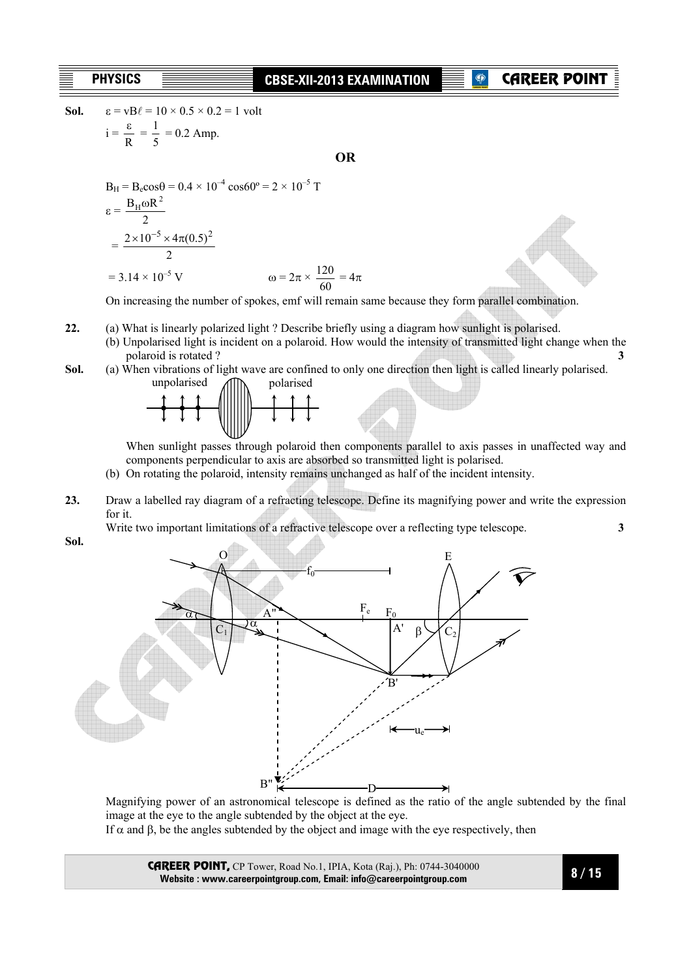# **CAREER POIN**

**Sol.**  $\varepsilon = vB\ell = 10 \times 0.5 \times 0.2 = 1$  volt  $i =$  $\frac{\varepsilon}{R} = \frac{1}{5} = 0.2$  Amp.

**OR**

$$
B_{H} = B_{e} \cos \theta = 0.4 \times 10^{-4} \cos 60^{\circ} = 2 \times 10^{-5} \text{ T}
$$
  
\n
$$
\epsilon = \frac{B_{H} \omega R^{2}}{2}
$$
  
\n
$$
= \frac{2 \times 10^{-5} \times 4\pi (0.5)^{2}}{2}
$$
  
\n
$$
= 3.14 \times 10^{-5} \text{ V}
$$
 
$$
\omega = 2\pi \times \frac{120}{60} = 4\pi
$$

On increasing the number of spokes, emf will remain same because they form parallel combination.

- **22.** (a) What is linearly polarized light ? Describe briefly using a diagram how sunlight is polarised.
	- (b) Unpolarised light is incident on a polaroid. How would the intensity of transmitted light change when the polaroid is rotated ? **3**

**Sol.** (a) When vibrations of light wave are confined to only one direction then light is called linearly polarised.



When sunlight passes through polaroid then components parallel to axis passes in unaffected way and components perpendicular to axis are absorbed so transmitted light is polarised.

- (b) On rotating the polaroid, intensity remains unchanged as half of the incident intensity.
- **23.** Draw a labelled ray diagram of a refracting telescope. Define its magnifying power and write the expression for it.

Write two important limitations of a refractive telescope over a reflecting type telescope. **3**

**Sol.**



Magnifying power of an astronomical telescope is defined as the ratio of the angle subtended by the final image at the eye to the angle subtended by the object at the eye.

If  $\alpha$  and  $\beta$ , be the angles subtended by the object and image with the eye respectively, then

CAREER POINT, CP Tower, Road No.1, IPIA, Kota (Raj.), Ph: 0744-3040000 **Website : www.careerpointgroup.com, Email: info@careerpointgroup.com**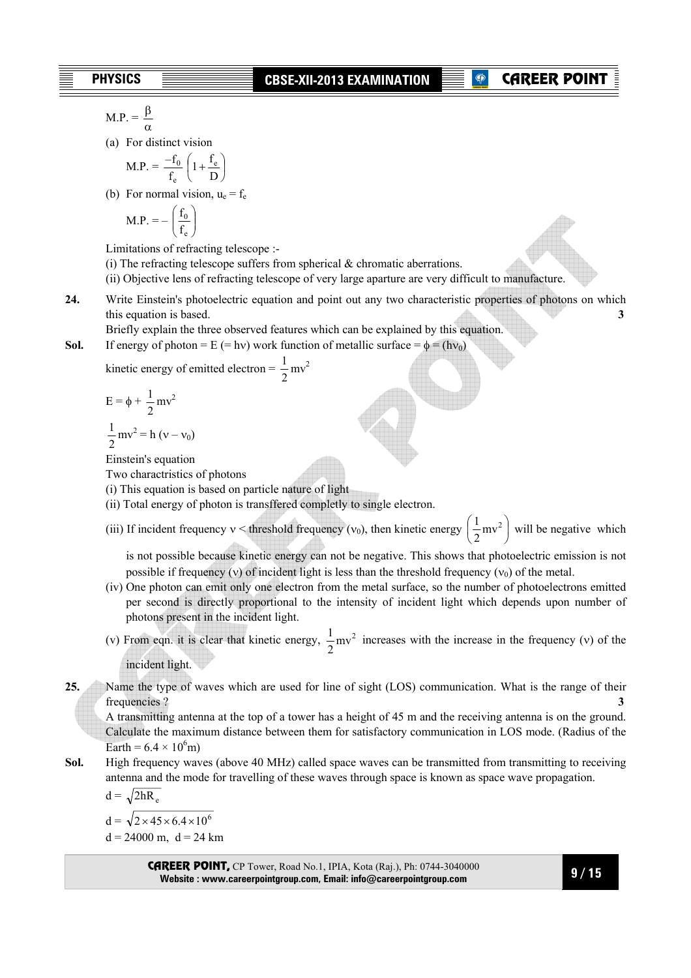$$
M.P. = \frac{\beta}{\alpha}
$$

(a) For distinct vision

$$
M.P. = \frac{-f_0}{f_e} \left( 1 + \frac{f_e}{D} \right)
$$

(b) For normal vision,  $u_e = f_e$ 

$$
M.P. = -\left(\frac{f_0}{f_e}\right)
$$

Limitations of refracting telescope :-

- (i) The refracting telescope suffers from spherical  $\&$  chromatic aberrations.
- (ii) Objective lens of refracting telescope of very large aparture are very difficult to manufacture.
- **24.** Write Einstein's photoelectric equation and point out any two characteristic properties of photons on which this equation is based. **3 3**

Briefly explain the three observed features which can be explained by this equation.

**Sol.** If energy of photon = E (= hv) work function of metallic surface =  $\phi$  = (hv<sub>0</sub>)

kinetic energy of emitted electron =  $\frac{1}{2}$  mv<sup>2</sup>

$$
E = \phi + \frac{1}{2}mv^2
$$

$$
\frac{1}{2}mv^2 = h (v - v_0)
$$

Einstein's equation

Two charactristics of photons

(i) This equation is based on particle nature of light

- (ii) Total energy of photon is transffered completly to single electron.
- (iii) If incident frequency  $v <$  threshold frequency ( $v_0$ ), then kinetic energy  $\frac{1}{2}mv^2$ J  $\left(\frac{1}{2}mv^2\right)$ l  $\left(\frac{1}{2}mv^2\right)$  $\frac{1}{2}$  mv<sup>2</sup> will be negative which

is not possible because kinetic energy can not be negative. This shows that photoelectric emission is not possible if frequency (v) of incident light is less than the threshold frequency ( $v_0$ ) of the metal.

- (iv) One photon can emit only one electron from the metal surface, so the number of photoelectrons emitted per second is directly proportional to the intensity of incident light which depends upon number of photons present in the incident light.
- (v) From eqn. it is clear that kinetic energy,  $\frac{1}{2}mv^2$  $\frac{1}{2}$  mv<sup>2</sup> increases with the increase in the frequency (v) of the incident light.

**25.** Name the type of waves which are used for line of sight (LOS) communication. What is the range of their frequencies ? **3**

A transmitting antenna at the top of a tower has a height of 45 m and the receiving antenna is on the ground. Calculate the maximum distance between them for satisfactory communication in LOS mode. (Radius of the Earth =  $6.4 \times 10^6$ m)

**Sol.** High frequency waves (above 40 MHz) called space waves can be transmitted from transmitting to receiving antenna and the mode for travelling of these waves through space is known as space wave propagation.

$$
d = \sqrt{2hR_e}
$$

 $d = \sqrt{2 \times 45 \times 6.4 \times 10^6}$ 

 $d = 24000$  m,  $d = 24$  km

CAREER POINT, CP Tower, Road No.1, IPIA, Kota (Raj.), Ph: 0744-3040000 **Website : www.careerpointgroup.com, Email: info@careerpointgroup.com**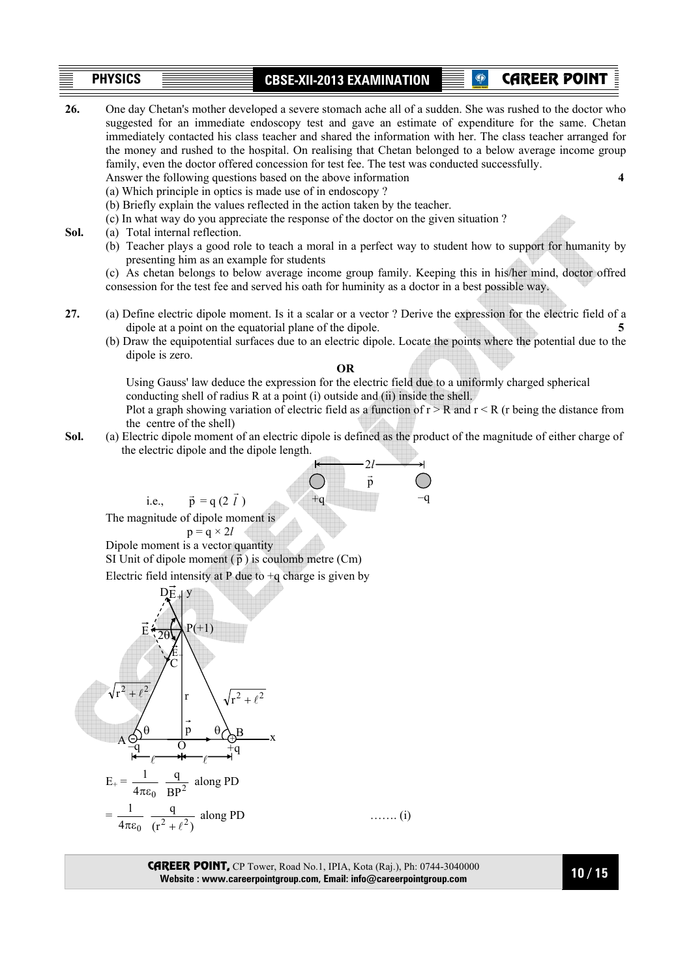# **PHYSICS CBSE-XII-2013 EXAMINATION**  CAREER POINT **26.** One day Chetan's mother developed a severe stomach ache all of a sudden. She was rushed to the doctor who

suggested for an immediate endoscopy test and gave an estimate of expenditure for the same. Chetan

- immediately contacted his class teacher and shared the information with her. The class teacher arranged for the money and rushed to the hospital. On realising that Chetan belonged to a below average income group family, even the doctor offered concession for test fee. The test was conducted successfully. Answer the following questions based on the above information **4**  (a) Which principle in optics is made use of in endoscopy ? (b) Briefly explain the values reflected in the action taken by the teacher. (c) In what way do you appreciate the response of the doctor on the given situation ? **Sol.** (a) Total internal reflection. (b) Teacher plays a good role to teach a moral in a perfect way to student how to support for humanity by presenting him as an example for students (c) As chetan belongs to below average income group family. Keeping this in his/her mind, doctor offred consession for the test fee and served his oath for huminity as a doctor in a best possible way. **27.** (a) Define electric dipole moment. Is it a scalar or a vector ? Derive the expression for the electric field of a dipole at a point on the equatorial plane of the dipole. (b) Draw the equipotential surfaces due to an electric dipole. Locate the points where the potential due to the dipole is zero. **OR** Using Gauss' law deduce the expression for the electric field due to a uniformly charged spherical conducting shell of radius R at a point (i) outside and (ii) inside the shell. Plot a graph showing variation of electric field as a function of  $r > R$  and  $r < R$  (r being the distance from the centre of the shell)
- **Sol.** (a) Electric dipole moment of an electric dipole is defined as the product of the magnitude of either charge of the electric dipole and the dipole length.



CAREER POINT, CP Tower, Road No.1, IPIA, Kota (Raj.), Ph: 0744-3040000 **Website : www.careerpointgroup.com, Email: info@careerpointgroup.com**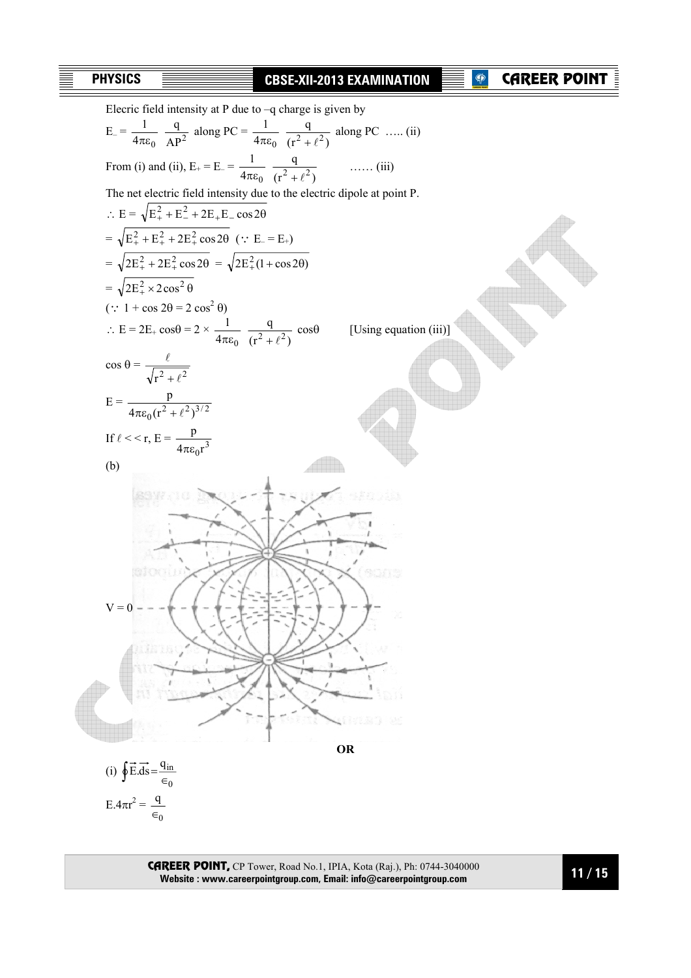# CAREER POINT



CAREER POINT, CP Tower, Road No.1, IPIA, Kota (Raj.), Ph: 0744-3040000 **Website : www.careerpointgroup.com, Email: info@careerpointgroup.com**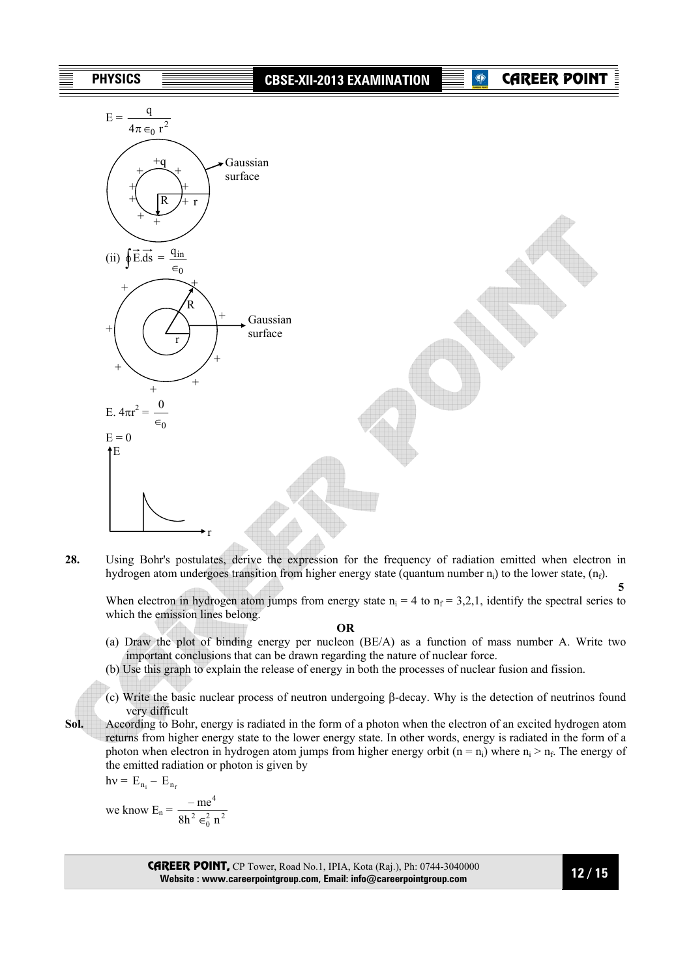

**28.** Using Bohr's postulates, derive the expression for the frequency of radiation emitted when electron in hydrogen atom undergoes transition from higher energy state (quantum number  $n_i$ ) to the lower state,  $(n_f)$ .

 **5**  When electron in hydrogen atom jumps from energy state  $n_i = 4$  to  $n_f = 3,2,1$ , identify the spectral series to which the emission lines belong.

#### **OR**

- (a) Draw the plot of binding energy per nucleon (BE/A) as a function of mass number A. Write two important conclusions that can be drawn regarding the nature of nuclear force.
- (b) Use this graph to explain the release of energy in both the processes of nuclear fusion and fission.
- (c) Write the basic nuclear process of neutron undergoing β-decay. Why is the detection of neutrinos found very difficult
- **Sol.** According to Bohr, energy is radiated in the form of a photon when the electron of an excited hydrogen atom returns from higher energy state to the lower energy state. In other words, energy is radiated in the form of a photon when electron in hydrogen atom jumps from higher energy orbit (n = n<sub>i</sub>) where  $n_i > n_f$ . The energy of the emitted radiation or photon is given by

$$
h\nu = E_{n_i} - E_{n_f}
$$

we know  $E_n = \frac{hc}{8h^2 \epsilon_0^2 n^2}$ 4  $8h^2 \in_0^2 n$ – me ∈

> CAREER POINT, CP Tower, Road No.1, IPIA, Kota (Raj.), Ph: 0744-3040000 **Website : www.careerpointgroup.com, Email: info@careerpointgroup.com**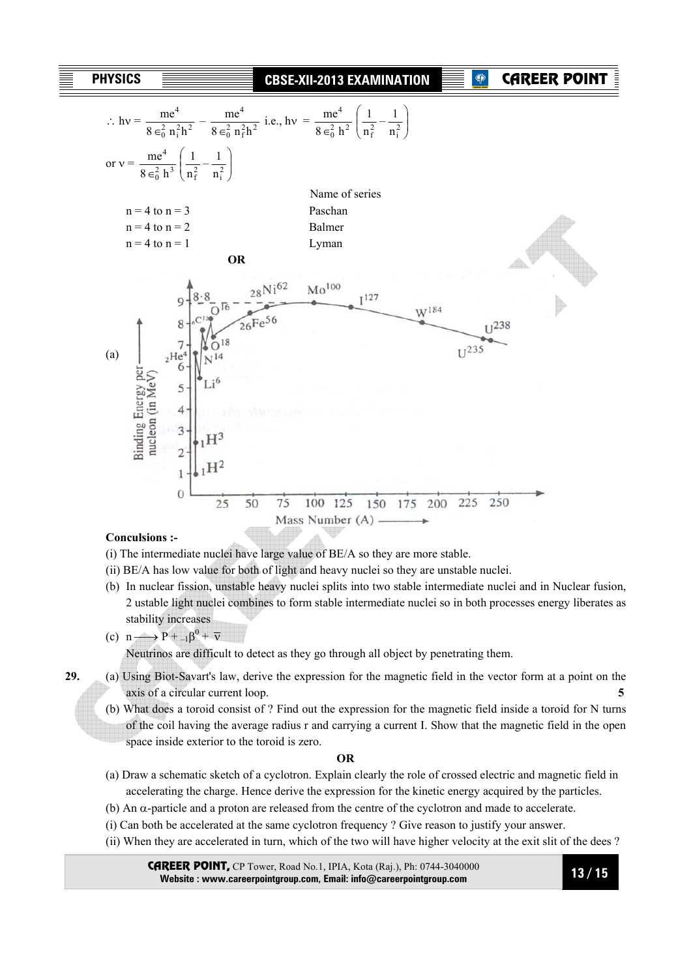| PHYSICS |  |
|---------|--|
|---------|--|

### **CBSE-XII-2013 EXAMINATION**

# CAREER POIN



#### **Conculsions :-**

- (i) The intermediate nuclei have large value of BE/A so they are more stable.
- (ii) BE/A has low value for both of light and heavy nuclei so they are unstable nuclei.
- (b) In nuclear fission, unstable heavy nuclei splits into two stable intermediate nuclei and in Nuclear fusion, 2 ustable light nuclei combines to form stable intermediate nuclei so in both processes energy liberates as stability increases
- (c) n  $\longrightarrow$  P +  $_{-1}\beta^{0}$  +  $\overline{v}$

Neutrinos are difficult to detect as they go through all object by penetrating them.

- **29.** (a) Using Biot-Savart's law, derive the expression for the magnetic field in the vector form at a point on the axis of a circular current loop. **5** 
	- (b) What does a toroid consist of ? Find out the expression for the magnetic field inside a toroid for N turns of the coil having the average radius r and carrying a current I. Show that the magnetic field in the open space inside exterior to the toroid is zero.

#### **OR**

- (a) Draw a schematic sketch of a cyclotron. Explain clearly the role of crossed electric and magnetic field in accelerating the charge. Hence derive the expression for the kinetic energy acquired by the particles.
- (b) An α-particle and a proton are released from the centre of the cyclotron and made to accelerate.
- (i) Can both be accelerated at the same cyclotron frequency ? Give reason to justify your answer.
- (ii) When they are accelerated in turn, which of the two will have higher velocity at the exit slit of the dees ?

CAREER POINT, CP Tower, Road No.1, IPIA, Kota (Raj.), Ph: 0744-3040000 **Website : www.careerpointgroup.com, Email: info@careerpointgroup.com**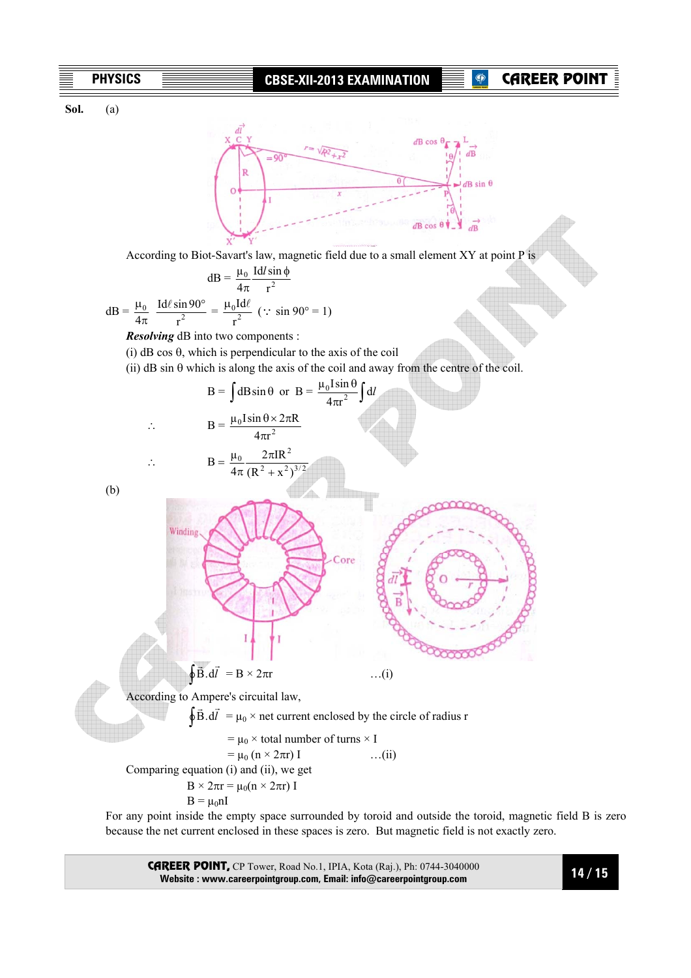# **P** CAREER POINT

**Sol.** (a)



According to Biot-Savart's law, magnetic field due to a small element XY at point P is

$$
dB = \frac{\mu_0}{4\pi} \frac{Idl \sin \phi}{r^2}
$$

$$
dB = \frac{\mu_0}{4\pi} \frac{Idl \sin 90^\circ}{r^2} = \frac{\mu_0 Idl}{r^2} \quad (\because \sin 90^\circ = 1)
$$

*Resolving* dB into two components :

- $(i)$  dB cos  $\theta$ , which is perpendicular to the axis of the coil
- (ii)  $\text{dB}$  sin  $\theta$  which is along the axis of the coil and away from the centre of the coil.

B = 
$$
\int dB \sin \theta
$$
 or B =  $\frac{\mu_0 I \sin \theta}{4\pi r^2} \int dI$   
\n $\therefore$  B =  $\frac{\mu_0}{4\pi} \frac{2\pi I R^2}{(R^2 + x^2)^{3/2}}$   
\n(b)

 For any point inside the empty space surrounded by toroid and outside the toroid, magnetic field B is zero because the net current enclosed in these spaces is zero. But magnetic field is not exactly zero.

CAREER POINT, CP Tower, Road No.1, IPIA, Kota (Raj.), Ph: 0744-3040000 **Website : www.careerpointgroup.com, Email: info@careerpointgroup.com**